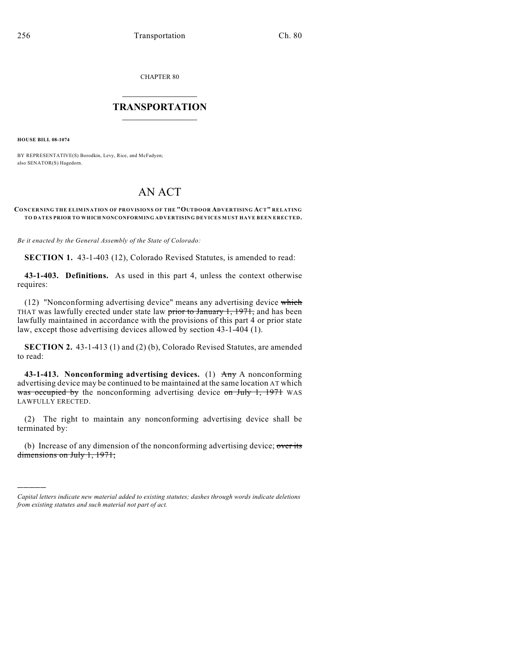CHAPTER 80

## $\overline{\phantom{a}}$  . The set of the set of the set of the set of the set of the set of the set of the set of the set of the set of the set of the set of the set of the set of the set of the set of the set of the set of the set o **TRANSPORTATION**  $\_$   $\_$   $\_$   $\_$   $\_$   $\_$   $\_$   $\_$   $\_$   $\_$

**HOUSE BILL 08-1074**

)))))

BY REPRESENTATIVE(S) Borodkin, Levy, Rice, and McFadyen; also SENATOR(S) Hagedorn.

## AN ACT

## **CONCERNING THE ELIMINATION OF PROVISIONS OF THE "OUTDOOR ADVERTISING ACT" RELATING TO DATES PRIOR TO WHICH NONCONFORMING ADVERTISING DEVICES MUST HAVE BEEN ERECTED.**

*Be it enacted by the General Assembly of the State of Colorado:*

**SECTION 1.** 43-1-403 (12), Colorado Revised Statutes, is amended to read:

**43-1-403. Definitions.** As used in this part 4, unless the context otherwise requires:

(12) "Nonconforming advertising device" means any advertising device which THAT was lawfully erected under state law  $\frac{1}{100}$  by  $\frac{1}{100}$ ,  $\frac{1971}{100}$ , and has been lawfully maintained in accordance with the provisions of this part 4 or prior state law, except those advertising devices allowed by section 43-1-404 (1).

**SECTION 2.** 43-1-413 (1) and (2) (b), Colorado Revised Statutes, are amended to read:

**43-1-413. Nonconforming advertising devices.** (1) Any A nonconforming advertising device may be continued to be maintained at the same location AT which was occupied by the nonconforming advertising device on July 1, 1971 WAS LAWFULLY ERECTED.

(2) The right to maintain any nonconforming advertising device shall be terminated by:

(b) Increase of any dimension of the nonconforming advertising device; over its dimensions on July 1, 1971;

*Capital letters indicate new material added to existing statutes; dashes through words indicate deletions from existing statutes and such material not part of act.*